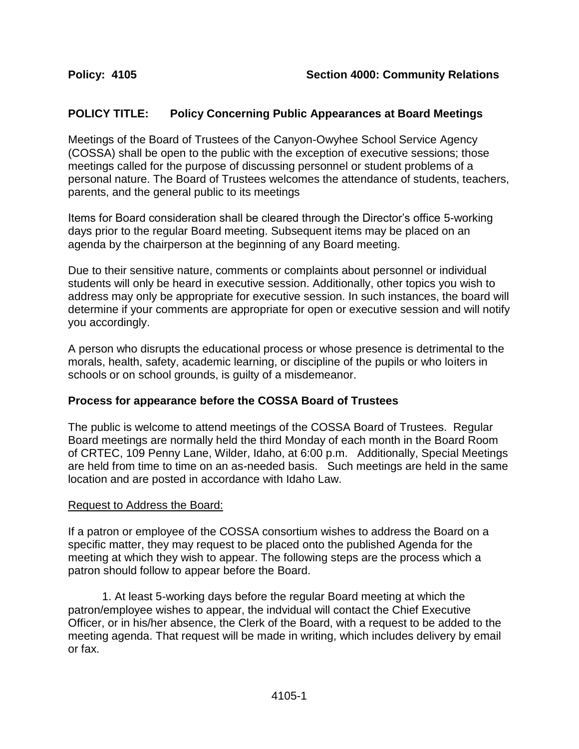## **POLICY TITLE: Policy Concerning Public Appearances at Board Meetings**

Meetings of the Board of Trustees of the Canyon-Owyhee School Service Agency (COSSA) shall be open to the public with the exception of executive sessions; those meetings called for the purpose of discussing personnel or student problems of a personal nature. The Board of Trustees welcomes the attendance of students, teachers, parents, and the general public to its meetings

Items for Board consideration shall be cleared through the Director's office 5-working days prior to the regular Board meeting. Subsequent items may be placed on an agenda by the chairperson at the beginning of any Board meeting.

Due to their sensitive nature, comments or complaints about personnel or individual students will only be heard in executive session. Additionally, other topics you wish to address may only be appropriate for executive session. In such instances, the board will determine if your comments are appropriate for open or executive session and will notify you accordingly.

A person who disrupts the educational process or whose presence is detrimental to the morals, health, safety, academic learning, or discipline of the pupils or who loiters in schools or on school grounds, is guilty of a misdemeanor.

### **Process for appearance before the COSSA Board of Trustees**

The public is welcome to attend meetings of the COSSA Board of Trustees. Regular Board meetings are normally held the third Monday of each month in the Board Room of CRTEC, 109 Penny Lane, Wilder, Idaho, at 6:00 p.m. Additionally, Special Meetings are held from time to time on an as-needed basis. Such meetings are held in the same location and are posted in accordance with Idaho Law.

#### Request to Address the Board:

If a patron or employee of the COSSA consortium wishes to address the Board on a specific matter, they may request to be placed onto the published Agenda for the meeting at which they wish to appear. The following steps are the process which a patron should follow to appear before the Board.

1. At least 5-working days before the regular Board meeting at which the patron/employee wishes to appear, the indvidual will contact the Chief Executive Officer, or in his/her absence, the Clerk of the Board, with a request to be added to the meeting agenda. That request will be made in writing, which includes delivery by email or fax.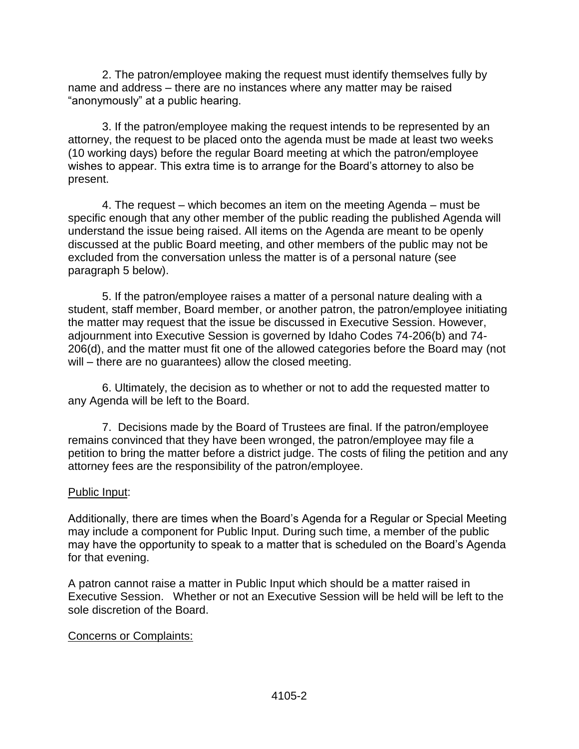2. The patron/employee making the request must identify themselves fully by name and address – there are no instances where any matter may be raised "anonymously" at a public hearing.

3. If the patron/employee making the request intends to be represented by an attorney, the request to be placed onto the agenda must be made at least two weeks (10 working days) before the regular Board meeting at which the patron/employee wishes to appear. This extra time is to arrange for the Board's attorney to also be present.

4. The request – which becomes an item on the meeting Agenda – must be specific enough that any other member of the public reading the published Agenda will understand the issue being raised. All items on the Agenda are meant to be openly discussed at the public Board meeting, and other members of the public may not be excluded from the conversation unless the matter is of a personal nature (see paragraph 5 below).

5. If the patron/employee raises a matter of a personal nature dealing with a student, staff member, Board member, or another patron, the patron/employee initiating the matter may request that the issue be discussed in Executive Session. However, adjournment into Executive Session is governed by Idaho Codes 74-206(b) and 74- 206(d), and the matter must fit one of the allowed categories before the Board may (not will – there are no guarantees) allow the closed meeting.

6. Ultimately, the decision as to whether or not to add the requested matter to any Agenda will be left to the Board.

7. Decisions made by the Board of Trustees are final. If the patron/employee remains convinced that they have been wronged, the patron/employee may file a petition to bring the matter before a district judge. The costs of filing the petition and any attorney fees are the responsibility of the patron/employee.

### Public Input:

Additionally, there are times when the Board's Agenda for a Regular or Special Meeting may include a component for Public Input. During such time, a member of the public may have the opportunity to speak to a matter that is scheduled on the Board's Agenda for that evening.

A patron cannot raise a matter in Public Input which should be a matter raised in Executive Session. Whether or not an Executive Session will be held will be left to the sole discretion of the Board.

### Concerns or Complaints: